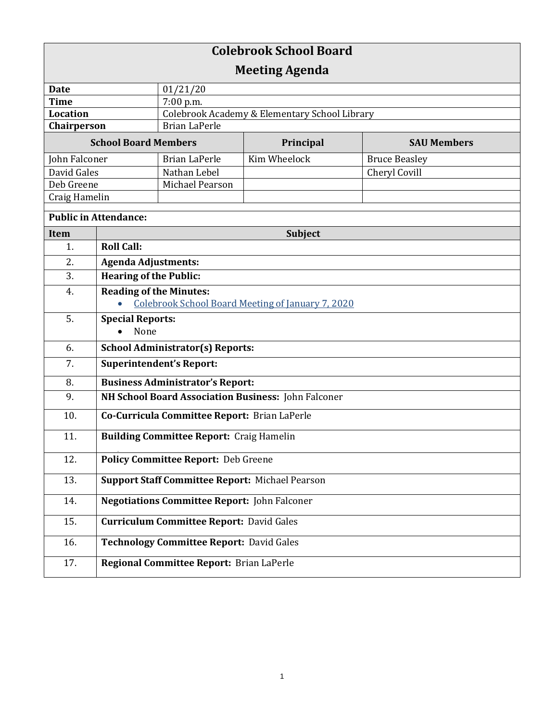| <b>Colebrook School Board</b> |                                                        |                                               |              |                      |  |
|-------------------------------|--------------------------------------------------------|-----------------------------------------------|--------------|----------------------|--|
| <b>Meeting Agenda</b>         |                                                        |                                               |              |                      |  |
| <b>Date</b>                   |                                                        | 01/21/20                                      |              |                      |  |
| <b>Time</b>                   |                                                        | 7:00 p.m.                                     |              |                      |  |
| <b>Location</b>               |                                                        | Colebrook Academy & Elementary School Library |              |                      |  |
| Chairperson                   |                                                        | <b>Brian LaPerle</b>                          |              |                      |  |
| <b>School Board Members</b>   |                                                        |                                               | Principal    | <b>SAU Members</b>   |  |
| John Falconer                 |                                                        | <b>Brian LaPerle</b>                          | Kim Wheelock | <b>Bruce Beasley</b> |  |
| David Gales                   |                                                        | Nathan Lebel                                  |              | Cheryl Covill        |  |
| Deb Greene                    |                                                        | Michael Pearson                               |              |                      |  |
| Craig Hamelin                 |                                                        |                                               |              |                      |  |
| <b>Public in Attendance:</b>  |                                                        |                                               |              |                      |  |
| Item                          | <b>Subject</b>                                         |                                               |              |                      |  |
| 1.                            | <b>Roll Call:</b>                                      |                                               |              |                      |  |
| 2.                            | <b>Agenda Adjustments:</b>                             |                                               |              |                      |  |
| 3.                            | <b>Hearing of the Public:</b>                          |                                               |              |                      |  |
| 4.                            | <b>Reading of the Minutes:</b>                         |                                               |              |                      |  |
|                               | Colebrook School Board Meeting of January 7, 2020      |                                               |              |                      |  |
| 5.                            | <b>Special Reports:</b>                                |                                               |              |                      |  |
|                               | None                                                   |                                               |              |                      |  |
| 6.                            | <b>School Administrator(s) Reports:</b>                |                                               |              |                      |  |
| 7.                            | <b>Superintendent's Report:</b>                        |                                               |              |                      |  |
| 8.                            | <b>Business Administrator's Report:</b>                |                                               |              |                      |  |
| 9.                            | NH School Board Association Business: John Falconer    |                                               |              |                      |  |
| 10.                           | Co-Curricula Committee Report: Brian LaPerle           |                                               |              |                      |  |
| 11.                           | <b>Building Committee Report: Craig Hamelin</b>        |                                               |              |                      |  |
| 12.                           | <b>Policy Committee Report: Deb Greene</b>             |                                               |              |                      |  |
| 13.                           | <b>Support Staff Committee Report: Michael Pearson</b> |                                               |              |                      |  |
| 14.                           | <b>Negotiations Committee Report: John Falconer</b>    |                                               |              |                      |  |
| 15.                           | <b>Curriculum Committee Report: David Gales</b>        |                                               |              |                      |  |
| 16.                           | <b>Technology Committee Report: David Gales</b>        |                                               |              |                      |  |
| 17.                           |                                                        | Regional Committee Report: Brian LaPerle      |              |                      |  |